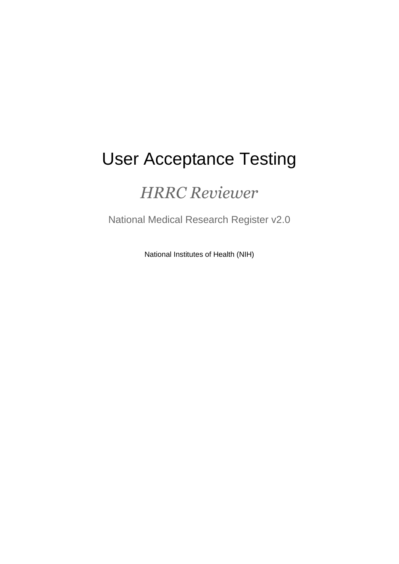# User Acceptance Testing

## *HRRC Reviewer*

National Medical Research Register v2.0

National Institutes of Health (NIH)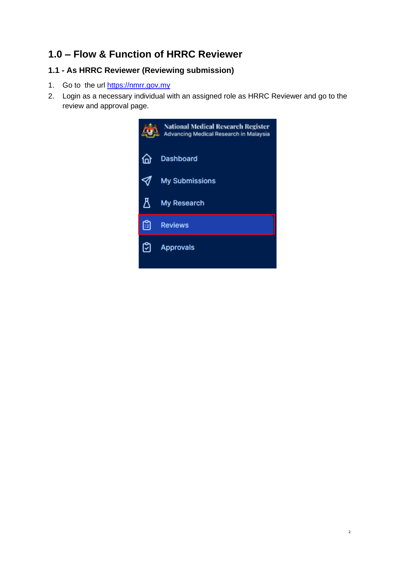## **1.0 – Flow & Function of HRRC Reviewer**

### **1.1 - As HRRC Reviewer (Reviewing submission)**

- 1. Go to the url [https://nmrr.gov.my](https://nmrr.gov.my/)
- 2. Login as a necessary individual with an assigned role as HRRC Reviewer and go to the review and approval page.

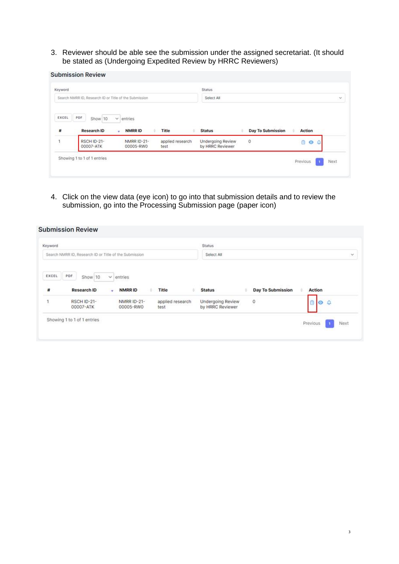3. Reviewer should be able see the submission under the assigned secretariat. (It should be stated as (Undergoing Expedited Review by HRRC Reviewers)

| Keyword    |                                                        |                                 |                          | <b>Status</b>                                |                   |              |          |
|------------|--------------------------------------------------------|---------------------------------|--------------------------|----------------------------------------------|-------------------|--------------|----------|
|            | Search NMRR ID, Research ID or Title of the Submission |                                 |                          | Select All                                   |                   |              | $\sim$   |
| EXCEL<br># | PDF.<br>Show 10<br>$\checkmark$<br><b>Research ID</b>  | entries.<br>NMRR ID<br>٠        | Title                    | <b>Status</b>                                | Day To Submission | Action       |          |
| 1          | RSCH ID-21-<br>00007-ATK                               | <b>NMRR ID-21-</b><br>00005-RW0 | applied research<br>test | <b>Undergoing Review</b><br>by HRRC Reviewer | $\circ$           | 尙<br>$\circ$ | $\Omega$ |
|            |                                                        |                                 |                          |                                              |                   |              |          |

4. Click on the view data (eye icon) to go into that submission details and to review the submission, go into the Processing Submission page (paper icon)

| Keyword    |                                                        |                                           |                          | <b>Status</b>                         |                          |                        |
|------------|--------------------------------------------------------|-------------------------------------------|--------------------------|---------------------------------------|--------------------------|------------------------|
|            | Search NMRR ID, Research ID or Title of the Submission |                                           |                          | Select All                            |                          | ×                      |
| EXCEL<br># | PDF.<br>Show 10<br><b>Research ID</b>                  | $\vee$ entries<br><b>NMRRID</b><br>¥<br>٠ | Title                    | <b>Status</b>                         | <b>Day To Submission</b> | Action                 |
|            | <b>RSCH ID-21-</b><br>00007-ATK                        | <b>NMRR ID-21-</b><br>00005-RW0           | applied research<br>test | Undergoing Review<br>by HRRC Reviewer | $\circ$                  | Ô<br>$\circ$ $\circ$   |
|            | Showing 1 to 1 of 1 entries                            |                                           |                          |                                       |                          | Next<br>Previous<br>n. |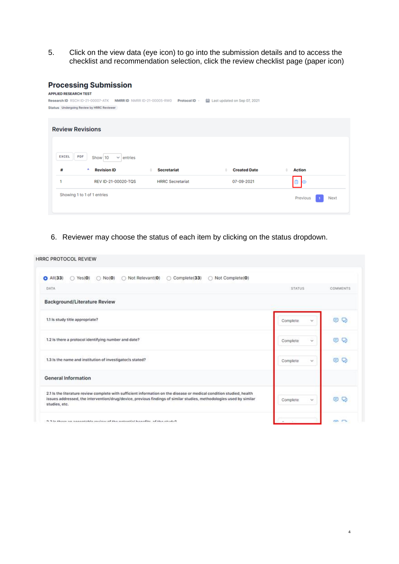5. Click on the view data (eye icon) to go into the submission details and to access the checklist and recommendation selection, click the review checklist page (paper icon)

#### **Processing Submission**

| 村<br>и                  | <b>Revision ID</b><br>۸<br>REV ID-21-00020-TQS                | <b>Secretariat</b><br><b>HRRC Secretariat</b> | <b>Created Date</b><br>07-09-2021 | <b>Action</b><br>$\mathbf{\hat{u}}$<br>$\odot$ |
|-------------------------|---------------------------------------------------------------|-----------------------------------------------|-----------------------------------|------------------------------------------------|
|                         |                                                               |                                               |                                   |                                                |
|                         |                                                               |                                               |                                   |                                                |
| PDF<br><b>EXCEL</b>     | Show 10<br>$\vee$ entries                                     |                                               |                                   |                                                |
| <b>Review Revisions</b> |                                                               |                                               |                                   |                                                |
|                         | Status Undergoing Review by HRRC Reviewer                     |                                               |                                   |                                                |
|                         | Research ID RSCH ID-21-00007-ATK NMRR ID NMRR ID-21-00005-RW0 | Protocol ID -                                 | Last updated on Sep 07, 2021      |                                                |

6. Reviewer may choose the status of each item by clicking on the status dropdown.

| <b>HRRC PROTOCOL REVIEW</b>                                                                                                                                                                                                                                   |                     |          |
|---------------------------------------------------------------------------------------------------------------------------------------------------------------------------------------------------------------------------------------------------------------|---------------------|----------|
| Not Complete(0)<br>$A$ All $(33)$<br>Not Relevant(0)<br>Complete(33)<br>$\bigcirc$ Yes(0)<br>$\bigcirc$ No(0)<br>$\odot$                                                                                                                                      |                     |          |
| DATA                                                                                                                                                                                                                                                          | <b>STATUS</b>       | COMMENTS |
| <b>Background/Literature Review</b>                                                                                                                                                                                                                           |                     |          |
| 1.1 is study title appropriate?                                                                                                                                                                                                                               | Complete.<br>$\sim$ | o<br>Θ   |
| 1.2 Is there a protocol identifying number and date?                                                                                                                                                                                                          | ŵ<br>Complete       | Θ<br>o   |
| 1.3 Is the name and institution of investigator/s stated?                                                                                                                                                                                                     | Complete<br>v       | O Q      |
| <b>General Information</b>                                                                                                                                                                                                                                    |                     |          |
| 2.1 Is the literature review complete with sufficient information on the disease or medical condition studied, health<br>issues addressed, the intervention/drug/device, previous findings of similar studies, methodologies used by similar<br>studies, etc. | Complete<br>v.      | O Q      |
| 9.9 In those an announced than the material handles of the study?                                                                                                                                                                                             |                     | e e      |

4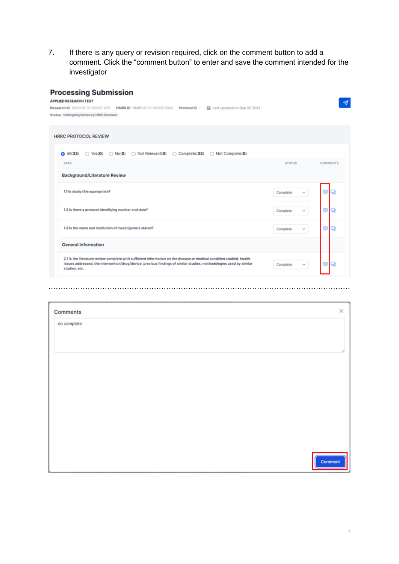7. If there is any query or revision required, click on the comment button to add a comment. Click the "comment button" to enter and save the comment intended for the investigator

| <b>Processing Submission</b><br><b>APPLIED RESEARCH TEST</b>                                                                                                                                                                                                  |                          |                 |
|---------------------------------------------------------------------------------------------------------------------------------------------------------------------------------------------------------------------------------------------------------------|--------------------------|-----------------|
| Research ID RSCH ID-21-00007-ATK NMRR ID NMRR ID-21-00005-RW0 Protocol ID -<br>Last updated on Sep 07, 2021<br>Status Undergoing Review by HRRC Reviewer                                                                                                      |                          |                 |
| <b>HRRC PROTOCOL REVIEW</b>                                                                                                                                                                                                                                   |                          |                 |
| ● All(33) ○ Yes(0) ○ No(0) ○ Not Relevant(0) ○ Complete(33) ○ Not Complete(0)<br><b>DATA</b>                                                                                                                                                                  | <b>STATUS</b>            | <b>COMMENTS</b> |
| <b>Background/Literature Review</b>                                                                                                                                                                                                                           |                          |                 |
| 1.1 Is study title appropriate?                                                                                                                                                                                                                               | Complete<br>v            |                 |
| 1.2 Is there a protocol identifying number and date?                                                                                                                                                                                                          | Complete<br>w            | G<br>o          |
| 1.3 is the name and institution of investigator/s stated?                                                                                                                                                                                                     | Complete<br>$\checkmark$ | ⊜<br>о          |
| <b>General Information</b>                                                                                                                                                                                                                                    |                          |                 |
| 2.1 Is the literature review complete with sufficient information on the disease or medical condition studied, health<br>issues addressed, the intervention/drug/device, previous findings of similar studies, methodologies used by similar<br>studies, etc. | Complete                 | ο               |
|                                                                                                                                                                                                                                                               |                          |                 |
| Comments                                                                                                                                                                                                                                                      |                          | ×               |
| no complete                                                                                                                                                                                                                                                   |                          |                 |
|                                                                                                                                                                                                                                                               |                          |                 |
|                                                                                                                                                                                                                                                               |                          |                 |
|                                                                                                                                                                                                                                                               |                          |                 |
|                                                                                                                                                                                                                                                               |                          |                 |
|                                                                                                                                                                                                                                                               |                          |                 |
|                                                                                                                                                                                                                                                               |                          |                 |
|                                                                                                                                                                                                                                                               |                          |                 |

Comment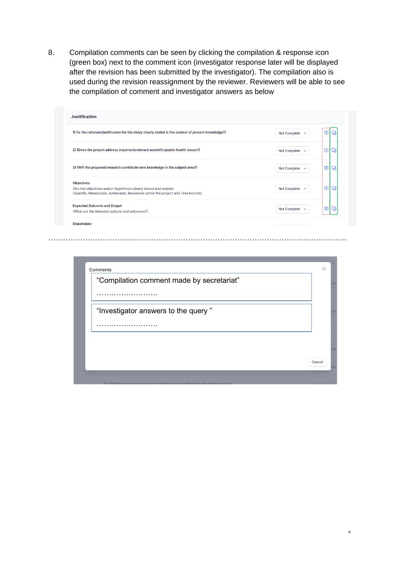8. Compilation comments can be seen by clicking the compilation & response icon (green box) next to the comment icon (investigator response later will be displayed after the revision has been submitted by the investigator). The compilation also is used during the revision reassignment by the reviewer. Reviewers will be able to see the compilation of comment and investigator answers as below

| <b>Justification</b>                                                                                                                                                        |                                     |        |
|-----------------------------------------------------------------------------------------------------------------------------------------------------------------------------|-------------------------------------|--------|
| 1) (Is the rationale/justification for the study clearly stated in the context of present knowledge?)                                                                       | Not Complete $\sim$                 | Θ      |
| 2) (Does the project address important/relevant scientific/public health issues?)                                                                                           | Not Complete $\sim$                 | ⊜<br>Q |
| 3) (Will the proposed research contribute new knowledge in the subject area?)                                                                                               | Not Complete $\sim$                 | ⊜<br>Q |
| <b>Objectives</b><br>(Are the objectives and/or hypothesis clearly stated and realistic<br>(Specific, Measurable, Achievable, Resourced within the project and Time bound)) | Not Complete $\sim$                 | ⊜<br>Q |
| <b>Expected Outcome and Output</b><br>(What are the intended outputs and outcomes?)                                                                                         | <b>Not Complete</b><br>$\checkmark$ | Θ      |
| <b>Stakeholder</b>                                                                                                                                                          |                                     |        |

…………………………………………………………………………………………………………..

| <b>Comments</b> | "Compilation comment made by secretariat" | $\times$ |
|-----------------|-------------------------------------------|----------|
|                 |                                           |          |
|                 |                                           |          |
|                 | "Investigator answers to the query"       |          |
|                 |                                           |          |
|                 |                                           |          |
|                 |                                           |          |
|                 |                                           | Cancel   |

6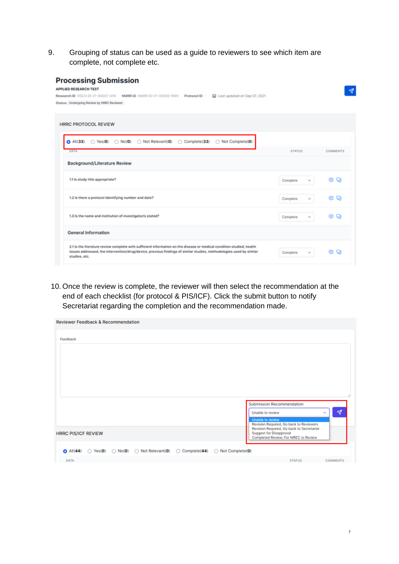9. Grouping of status can be used as a guide to reviewers to see which item are complete, not complete etc.

| <b>Processing Submission</b><br><b>APPLIED RESEARCH TEST</b><br>Research ID RSCH ID-21-00007-ATK<br>NMRRID NMRRID-21-00005-RW0<br>Protocol ID -<br>Last updated on Sep 07, 2021 |                             | ᢦ               |
|---------------------------------------------------------------------------------------------------------------------------------------------------------------------------------|-----------------------------|-----------------|
| Status Undergoing Review by HRRC Reviewer                                                                                                                                       |                             |                 |
| <b>HRRC PROTOCOL REVIEW</b>                                                                                                                                                     |                             |                 |
| Not Relevant(0)<br>Not Complete(0)<br>$\Omega$ All $(33)$<br>$\bigcirc$ No(0)<br>◯ Complete(33)<br>$\bigcap$ Yes(0)<br>DATA                                                     | <b>STATUS</b>               | <b>COMMENTS</b> |
| <b>Background/Literature Review</b>                                                                                                                                             |                             |                 |
| 1.1 Is study title appropriate?                                                                                                                                                 | Complete<br>v               | ø<br>⊛          |
| 1.2 Is there a protocol identifying number and date?                                                                                                                            | Complete<br>v               | G<br>o          |
| 1.3 Is the name and institution of investigator/s stated?<br><b>General Information</b>                                                                                         | Complete<br>v               | 8 Q             |
| 2.1 Is the literature review complete with sufficient information on the disease or medical condition studied, health                                                           |                             |                 |
| issues addressed, the intervention/drug/device, previous findings of similar studies, methodologies used by similar<br>studies, etc.                                            | Complete<br>$\tau_{\rm M}c$ | o<br>o.         |

10. Once the review is complete, the reviewer will then select the recommendation at the end of each checklist (for protocol & PIS/ICF). Click the submit button to notify Secretariat regarding the completion and the recommendation made.

| <b>Reviewer Feedback &amp; Recommendation</b>                                                                                       |                                                                      |
|-------------------------------------------------------------------------------------------------------------------------------------|----------------------------------------------------------------------|
| Feedback                                                                                                                            |                                                                      |
|                                                                                                                                     |                                                                      |
|                                                                                                                                     |                                                                      |
|                                                                                                                                     |                                                                      |
|                                                                                                                                     |                                                                      |
|                                                                                                                                     |                                                                      |
|                                                                                                                                     | Submission Recommendation                                            |
|                                                                                                                                     | ∢<br>Unable to review<br>$\sim$                                      |
|                                                                                                                                     | Unable to review<br>Revision Required, Go back to Reviewers          |
| <b>HRRC PIS/ICF REVIEW</b>                                                                                                          | Revision Required, Go back to Secretariat<br>Suggest for Disapproval |
|                                                                                                                                     | Completed Review, For MREC to Review                                 |
| $\bigcirc$ All(44) $\bigcirc$ Yes(0) $\bigcirc$ No(0) $\bigcirc$ Not Relevant(0) $\bigcirc$ Complete(44) $\bigcirc$ Not Complete(0) |                                                                      |
| DATA                                                                                                                                | <b>STATUS</b><br><b>COMMENTS</b>                                     |